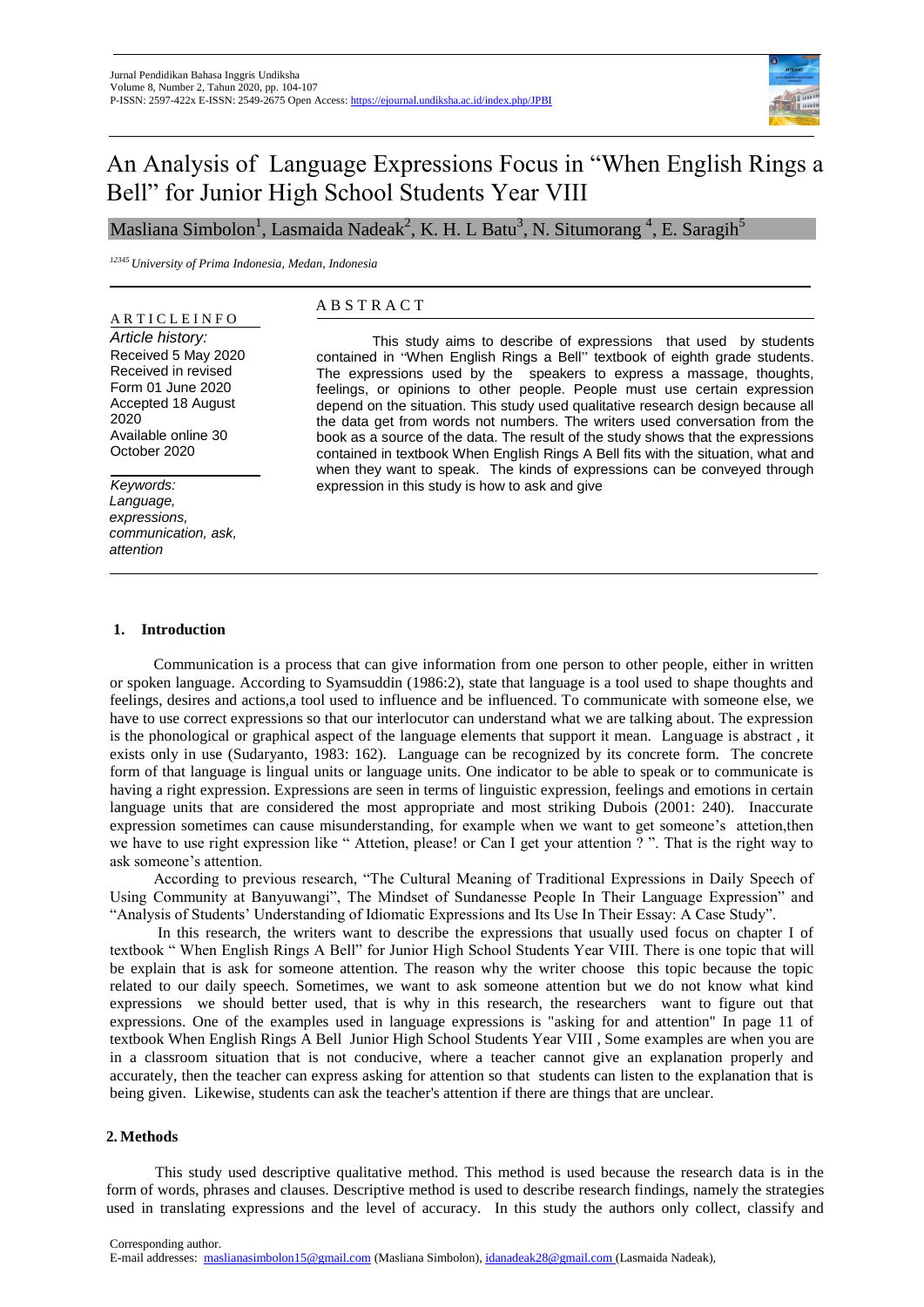

# An Analysis of Language Expressions Focus in "When English Rings a Bell" for Junior High School Students Year VIII

Masliana Simbolon $^1$ , Lasmaida Nadeak $^2$ , K. H. L Batu $^3$ , N. Situmorang  $^4$ , E. Saragih $^5$ 

*<sup>12345</sup> University of Prima Indonesia, Medan, Indonesia*

### A R T I C L E I N F O

*Article history:*  Received 5 May 2020 Received in revised Form 01 June 2020 Accepted 18 August 2020 Available online 30 October 2020

*Keywords: Language, expressions, communication, ask, attention*

# A B S T R A C T

This study aims to describe of expressions that used by students contained in "When English Rings a Bell" textbook of eighth grade students. The expressions used by the speakers to express a massage, thoughts, feelings, or opinions to other people. People must use certain expression depend on the situation. This study used qualitative research design because all the data get from words not numbers. The writers used conversation from the book as a source of the data. The result of the study shows that the expressions contained in textbook When English Rings A Bell fits with the situation, what and when they want to speak. The kinds of expressions can be conveyed through expression in this study is how to ask and give

## **1. Introduction**

Communication is a process that can give information from one person to other people, either in written or spoken language. According to Syamsuddin (1986:2), state that language is a tool used to shape thoughts and feelings, desires and actions,a tool used to influence and be influenced. To communicate with someone else, we have to use correct expressions so that our interlocutor can understand what we are talking about. The expression is the phonological or graphical aspect of the language elements that support it mean. Language is abstract , it exists only in use (Sudaryanto, 1983: 162). Language can be recognized by its concrete form. The concrete form of that language is lingual units or language units. One indicator to be able to speak or to communicate is having a right expression. Expressions are seen in terms of linguistic expression, feelings and emotions in certain language units that are considered the most appropriate and most striking Dubois (2001: 240). Inaccurate expression sometimes can cause misunderstanding, for example when we want to get someone's attetion,then we have to use right expression like " Attetion, please! or Can I get your attention ? ". That is the right way to ask someone's attention.

According to previous research, "The Cultural Meaning of Traditional Expressions in Daily Speech of Using Community at Banyuwangi", The Mindset of Sundanesse People In Their Language Expression" and "Analysis of Students' Understanding of Idiomatic Expressions and Its Use In Their Essay: A Case Study".

In this research, the writers want to describe the expressions that usually used focus on chapter I of textbook " When English Rings A Bell" for Junior High School Students Year VIII. There is one topic that will be explain that is ask for someone attention. The reason why the writer choose this topic because the topic related to our daily speech. Sometimes, we want to ask someone attention but we do not know what kind expressions we should better used, that is why in this research, the researchers want to figure out that expressions. One of the examples used in language expressions is "asking for and attention" In page 11 of textbook When English Rings A Bell Junior High School Students Year VIII , Some examples are when you are in a classroom situation that is not conducive, where a teacher cannot give an explanation properly and accurately, then the teacher can express asking for attention so that students can listen to the explanation that is being given. Likewise, students can ask the teacher's attention if there are things that are unclear.

#### **2. Methods**

This study used descriptive qualitative method. This method is used because the research data is in the form of words, phrases and clauses. Descriptive method is used to describe research findings, namely the strategies used in translating expressions and the level of accuracy. In this study the authors only collect, classify and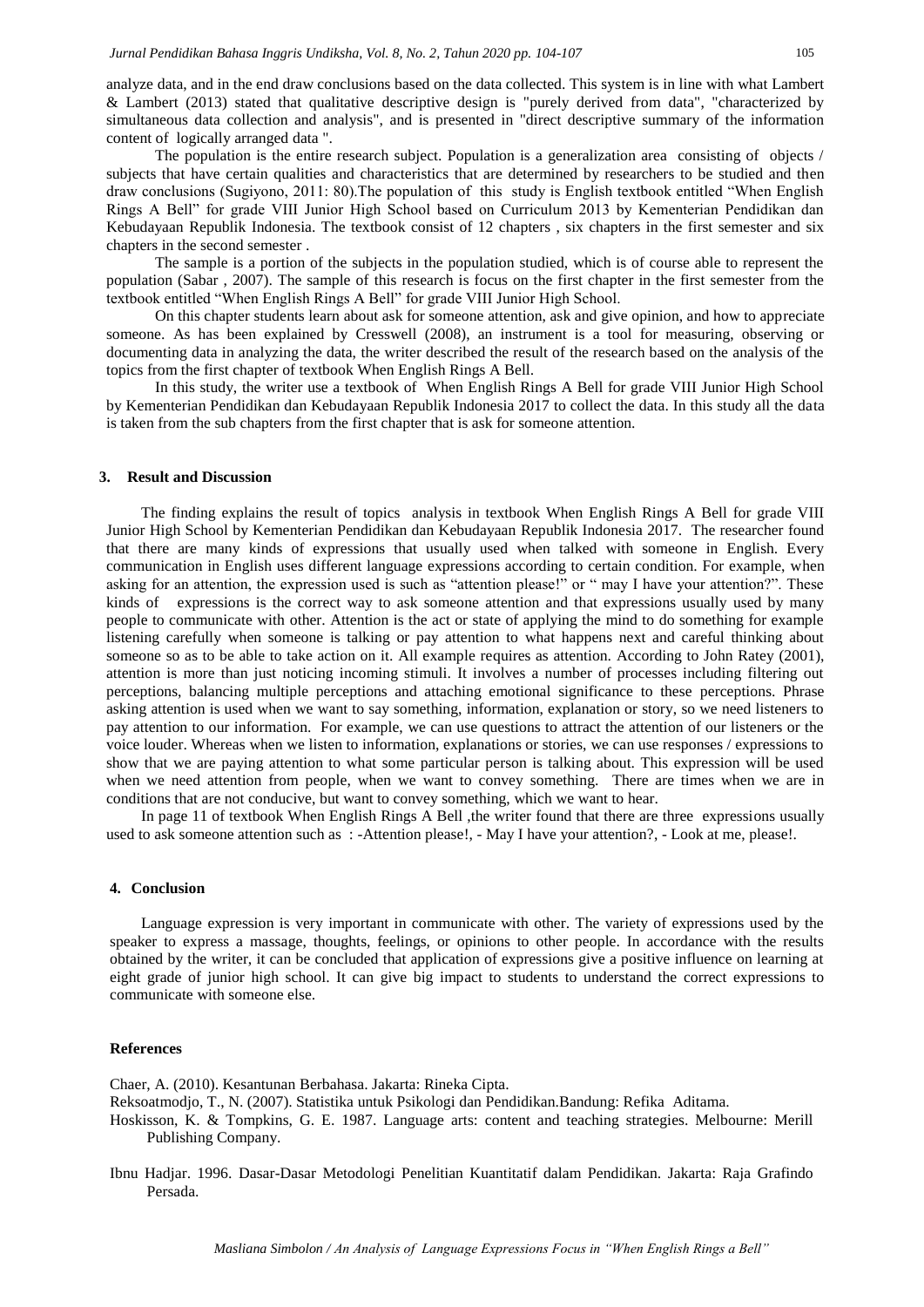analyze data, and in the end draw conclusions based on the data collected. This system is in line with what Lambert & Lambert (2013) stated that qualitative descriptive design is "purely derived from data", "characterized by simultaneous data collection and analysis", and is presented in "direct descriptive summary of the information content of logically arranged data ".

The population is the entire research subject. Population is a generalization area consisting of objects / subjects that have certain qualities and characteristics that are determined by researchers to be studied and then draw conclusions (Sugiyono, 2011: 80).The population of this study is English textbook entitled "When English Rings A Bell" for grade VIII Junior High School based on Curriculum 2013 by Kementerian Pendidikan dan Kebudayaan Republik Indonesia. The textbook consist of 12 chapters , six chapters in the first semester and six chapters in the second semester .

The sample is a portion of the subjects in the population studied, which is of course able to represent the population (Sabar , 2007). The sample of this research is focus on the first chapter in the first semester from the textbook entitled "When English Rings A Bell" for grade VIII Junior High School.

On this chapter students learn about ask for someone attention, ask and give opinion, and how to appreciate someone. As has been explained by Cresswell (2008), an instrument is a tool for measuring, observing or documenting data in analyzing the data, the writer described the result of the research based on the analysis of the topics from the first chapter of textbook When English Rings A Bell.

In this study, the writer use a textbook of When English Rings A Bell for grade VIII Junior High School by Kementerian Pendidikan dan Kebudayaan Republik Indonesia 2017 to collect the data. In this study all the data is taken from the sub chapters from the first chapter that is ask for someone attention.

#### **3. Result and Discussion**

The finding explains the result of topics analysis in textbook When English Rings A Bell for grade VIII Junior High School by Kementerian Pendidikan dan Kebudayaan Republik Indonesia 2017. The researcher found that there are many kinds of expressions that usually used when talked with someone in English. Every communication in English uses different language expressions according to certain condition. For example, when asking for an attention, the expression used is such as "attention please!" or " may I have your attention?". These kinds of expressions is the correct way to ask someone attention and that expressions usually used by many people to communicate with other. Attention is the act or state of applying the mind to do something for example listening carefully when someone is talking or pay attention to what happens next and careful thinking about someone so as to be able to take action on it. All example requires as attention. According to John Ratey (2001), attention is more than just noticing incoming stimuli. It involves a number of processes including filtering out perceptions, balancing multiple perceptions and attaching emotional significance to these perceptions. Phrase asking attention is used when we want to say something, information, explanation or story, so we need listeners to pay attention to our information. For example, we can use questions to attract the attention of our listeners or the voice louder. Whereas when we listen to information, explanations or stories, we can use responses / expressions to show that we are paying attention to what some particular person is talking about. This expression will be used when we need attention from people, when we want to convey something. There are times when we are in conditions that are not conducive, but want to convey something, which we want to hear.

In page 11 of textbook When English Rings A Bell , the writer found that there are three expressions usually used to ask someone attention such as : -Attention please!, - May I have your attention?, - Look at me, please!.

#### **4. Conclusion**

Language expression is very important in communicate with other. The variety of expressions used by the speaker to express a massage, thoughts, feelings, or opinions to other people. In accordance with the results obtained by the writer, it can be concluded that application of expressions give a positive influence on learning at eight grade of junior high school. It can give big impact to students to understand the correct expressions to communicate with someone else.

#### **References**

Chaer, A. (2010). Kesantunan Berbahasa. Jakarta: Rineka Cipta.

Reksoatmodjo, T., N. (2007). Statistika untuk Psikologi dan Pendidikan.Bandung: Refika Aditama.

Hoskisson, K. & Tompkins, G. E. 1987. Language arts: content and teaching strategies. Melbourne: Merill Publishing Company.

Ibnu Hadjar. 1996. Dasar-Dasar Metodologi Penelitian Kuantitatif dalam Pendidikan. Jakarta: Raja Grafindo Persada.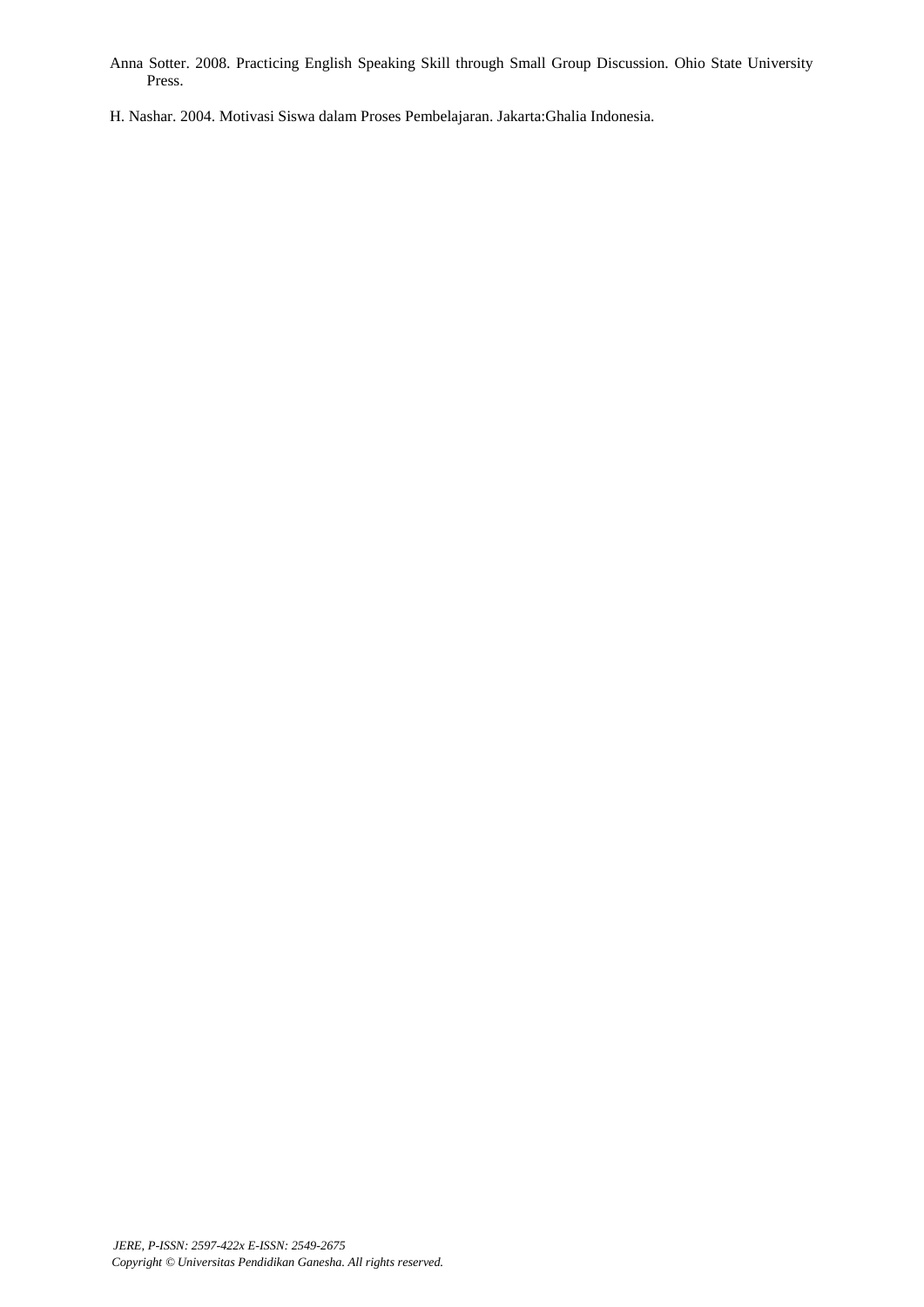- Anna Sotter. 2008. Practicing English Speaking Skill through Small Group Discussion. Ohio State University Press.
- H. Nashar. 2004. Motivasi Siswa dalam Proses Pembelajaran. Jakarta:Ghalia Indonesia.